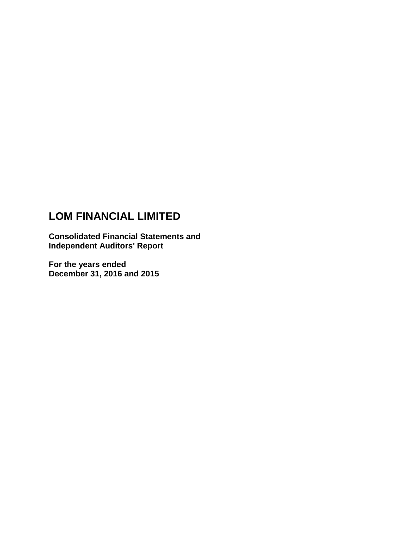# **LOM FINANCIAL LIMITED**

**Consolidated Financial Statements and Independent Auditors' Report**

**For the years ended December 31, 2016 and 2015**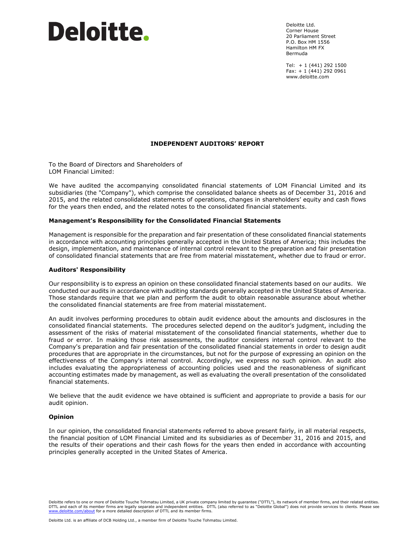# Deloitte.

Deloitte Ltd. Corner House 20 Parliament Street P.O. Box HM 1556 Hamilton HM FX Bermuda

Tel: + 1 (441) 292 1500 Fax: + 1 (441) 292 0961 www.deloitte.com

#### **INDEPENDENT AUDITORS' REPORT**

To the Board of Directors and Shareholders of LOM Financial Limited:

We have audited the accompanying consolidated financial statements of LOM Financial Limited and its subsidiaries (the "Company"), which comprise the consolidated balance sheets as of December 31, 2016 and 2015, and the related consolidated statements of operations, changes in shareholders' equity and cash flows for the years then ended, and the related notes to the consolidated financial statements.

#### **Management's Responsibility for the Consolidated Financial Statements**

Management is responsible for the preparation and fair presentation of these consolidated financial statements in accordance with accounting principles generally accepted in the United States of America; this includes the design, implementation, and maintenance of internal control relevant to the preparation and fair presentation of consolidated financial statements that are free from material misstatement, whether due to fraud or error.

#### **Auditors' Responsibility**

Our responsibility is to express an opinion on these consolidated financial statements based on our audits. We conducted our audits in accordance with auditing standards generally accepted in the United States of America. Those standards require that we plan and perform the audit to obtain reasonable assurance about whether the consolidated financial statements are free from material misstatement.

An audit involves performing procedures to obtain audit evidence about the amounts and disclosures in the consolidated financial statements. The procedures selected depend on the auditor's judgment, including the assessment of the risks of material misstatement of the consolidated financial statements, whether due to fraud or error. In making those risk assessments, the auditor considers internal control relevant to the Company's preparation and fair presentation of the consolidated financial statements in order to design audit procedures that are appropriate in the circumstances, but not for the purpose of expressing an opinion on the effectiveness of the Company's internal control. Accordingly, we express no such opinion. An audit also includes evaluating the appropriateness of accounting policies used and the reasonableness of significant accounting estimates made by management, as well as evaluating the overall presentation of the consolidated financial statements.

We believe that the audit evidence we have obtained is sufficient and appropriate to provide a basis for our audit opinion.

#### **Opinion**

In our opinion, the consolidated financial statements referred to above present fairly, in all material respects, the financial position of LOM Financial Limited and its subsidiaries as of December 31, 2016 and 2015, and the results of their operations and their cash flows for the years then ended in accordance with accounting principles generally accepted in the United States of America.

Deloitte refers to one or more of Deloitte Touche Tohmatsu Limited, a UK private company limited by guarantee ("DTTL"), its network of member firms, and their related entities. DTTL and each of its member firms are legally separate and independent entities. DTTL (also referred to as "Deloitte Global") does not provide services to clients. Please see n/about for a more detailed description of DTTL and its member firms.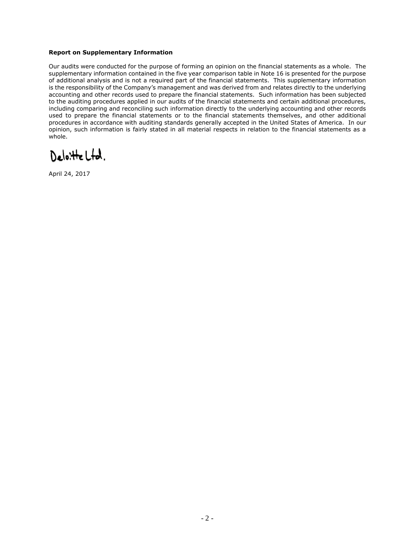#### **Report on Supplementary Information**

Our audits were conducted for the purpose of forming an opinion on the financial statements as a whole. The supplementary information contained in the five year comparison table in Note 16 is presented for the purpose of additional analysis and is not a required part of the financial statements. This supplementary information is the responsibility of the Company's management and was derived from and relates directly to the underlying accounting and other records used to prepare the financial statements. Such information has been subjected to the auditing procedures applied in our audits of the financial statements and certain additional procedures, including comparing and reconciling such information directly to the underlying accounting and other records used to prepare the financial statements or to the financial statements themselves, and other additional procedures in accordance with auditing standards generally accepted in the United States of America. In our opinion, such information is fairly stated in all material respects in relation to the financial statements as a whole.

Deloitte Ltd.

April 24, 2017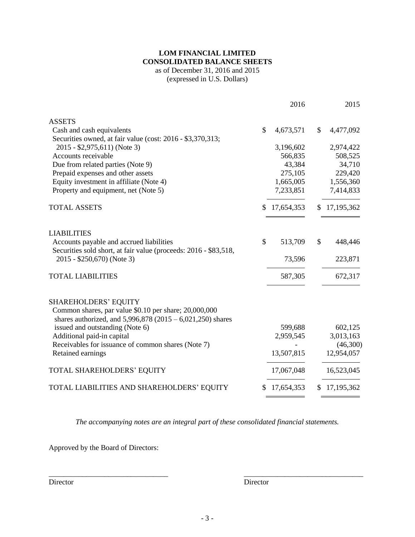## **LOM FINANCIAL LIMITED CONSOLIDATED BALANCE SHEETS** as of December 31, 2016 and 2015

(expressed in U.S. Dollars)

|                                                                                                              |    | 2016         | 2015            |
|--------------------------------------------------------------------------------------------------------------|----|--------------|-----------------|
| <b>ASSETS</b>                                                                                                |    |              |                 |
| Cash and cash equivalents                                                                                    | \$ | 4,673,571    | \$<br>4,477,092 |
| Securities owned, at fair value (cost: 2016 - \$3,370,313;                                                   |    |              |                 |
| 2015 - \$2,975,611) (Note 3)                                                                                 |    | 3,196,602    | 2,974,422       |
| Accounts receivable                                                                                          |    | 566,835      | 508,525         |
| Due from related parties (Note 9)                                                                            |    | 43,384       | 34,710          |
| Prepaid expenses and other assets                                                                            |    | 275,105      | 229,420         |
| Equity investment in affiliate (Note 4)                                                                      |    | 1,665,005    | 1,556,360       |
| Property and equipment, net (Note 5)                                                                         |    | 7,233,851    | 7,414,833       |
| <b>TOTAL ASSETS</b>                                                                                          |    | \$17,654,353 | \$17,195,362    |
| <b>LIABILITIES</b>                                                                                           |    |              |                 |
| Accounts payable and accrued liabilities<br>Securities sold short, at fair value (proceeds: 2016 - \$83,518, | \$ | 513,709      | \$<br>448,446   |
| 2015 - \$250,670) (Note 3)                                                                                   |    | 73,596       | 223,871         |
| <b>TOTAL LIABILITIES</b>                                                                                     |    | 587,305      | 672,317         |
| SHAREHOLDERS' EQUITY                                                                                         |    |              |                 |
| Common shares, par value \$0.10 per share; 20,000,000                                                        |    |              |                 |
| shares authorized, and $5,996,878$ (2015 – 6,021,250) shares                                                 |    |              |                 |
| issued and outstanding (Note 6)                                                                              |    | 599,688      | 602,125         |
| Additional paid-in capital                                                                                   |    | 2,959,545    | 3,013,163       |
| Receivables for issuance of common shares (Note 7)                                                           |    |              | (46,300)        |
| Retained earnings                                                                                            |    | 13,507,815   | 12,954,057      |
| TOTAL SHAREHOLDERS' EQUITY                                                                                   |    | 17,067,048   | 16,523,045      |
| TOTAL LIABILITIES AND SHAREHOLDERS' EQUITY                                                                   | S. | 17,654,353   | \$17,195,362    |
|                                                                                                              |    |              |                 |

*The accompanying notes are an integral part of these consolidated financial statements.*

Approved by the Board of Directors:

Director Director

\_\_\_\_\_\_\_\_\_\_\_\_\_\_\_\_\_\_\_\_\_\_\_\_\_\_\_\_\_\_\_\_ \_\_\_\_\_\_\_\_\_\_\_\_\_\_\_\_\_\_\_\_\_\_\_\_\_\_\_\_\_\_\_\_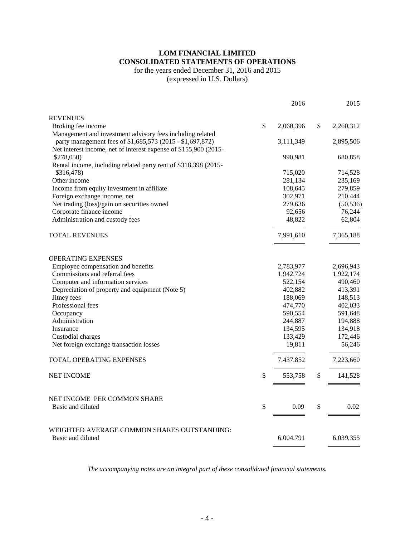# **LOM FINANCIAL LIMITED CONSOLIDATED STATEMENTS OF OPERATIONS**

# for the years ended December 31, 2016 and 2015

(expressed in U.S. Dollars)

|                                                                  | 2016            | 2015            |
|------------------------------------------------------------------|-----------------|-----------------|
| REVENUES                                                         |                 |                 |
| Broking fee income                                               | \$<br>2,060,396 | \$<br>2,260,312 |
| Management and investment advisory fees including related        |                 |                 |
| party management fees of \$1,685,573 (2015 - \$1,697,872)        | 3,111,349       | 2,895,506       |
| Net interest income, net of interest expense of \$155,900 (2015- |                 |                 |
| \$278,050                                                        | 990,981         | 680,858         |
| Rental income, including related party rent of \$318,398 (2015-  |                 |                 |
| \$316,478)                                                       | 715,020         | 714,528         |
| Other income                                                     | 281,134         | 235,169         |
| Income from equity investment in affiliate                       | 108,645         | 279,859         |
| Foreign exchange income, net                                     | 302,971         | 210,444         |
| Net trading (loss)/gain on securities owned                      | 279,636         | (50, 536)       |
| Corporate finance income                                         | 92,656          | 76,244          |
| Administration and custody fees                                  | 48,822          | 62,804          |
| <b>TOTAL REVENUES</b>                                            | 7,991,610       | 7,365,188       |
| <b>OPERATING EXPENSES</b>                                        |                 |                 |
| Employee compensation and benefits                               | 2,783,977       | 2,696,943       |
| Commissions and referral fees                                    | 1,942,724       | 1,922,174       |
| Computer and information services                                | 522,154         | 490,460         |
| Depreciation of property and equipment (Note 5)                  | 402,882         | 413,391         |
| Jitney fees                                                      | 188,069         | 148,513         |
| Professional fees                                                | 474,770         | 402,033         |
| Occupancy                                                        | 590,554         | 591,648         |
| Administration                                                   | 244,887         | 194,888         |
| Insurance                                                        | 134,595         | 134,918         |
| Custodial charges                                                | 133,429         | 172,446         |
| Net foreign exchange transaction losses                          | 19,811          | 56,246          |
| TOTAL OPERATING EXPENSES                                         | 7,437,852       | 7,223,660       |
| <b>NET INCOME</b>                                                | \$<br>553,758   | \$<br>141,528   |
|                                                                  |                 |                 |
| NET INCOME PER COMMON SHARE<br>Basic and diluted                 | \$<br>0.09      | \$<br>0.02      |
|                                                                  |                 |                 |
| WEIGHTED AVERAGE COMMON SHARES OUTSTANDING:                      |                 |                 |
| Basic and diluted                                                | 6,004,791       | 6,039,355       |

*The accompanying notes are an integral part of these consolidated financial statements.*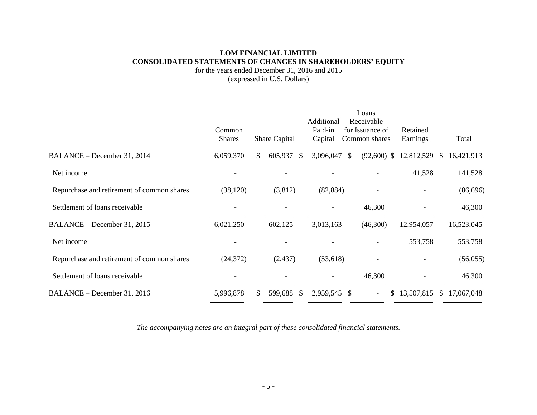# **LOM FINANCIAL LIMITED CONSOLIDATED STATEMENTS OF CHANGES IN SHAREHOLDERS' EQUITY**

for the years ended December 31, 2016 and 2015 (expressed in U.S. Dollars)

|                                            |                         |                                | Additional         | Loans<br>Receivable              |                          |    |            |
|--------------------------------------------|-------------------------|--------------------------------|--------------------|----------------------------------|--------------------------|----|------------|
|                                            | Common<br><b>Shares</b> | <b>Share Capital</b>           | Paid-in<br>Capital | for Issuance of<br>Common shares | Retained<br>Earnings     |    | Total      |
| BALANCE - December 31, 2014                | 6,059,370               | \$<br>605,937<br>-S            | 3,096,047 \$       | $(92,600)$ \$                    | 12,812,529               | S. | 16,421,913 |
| Net income                                 |                         |                                |                    |                                  | 141,528                  |    | 141,528    |
| Repurchase and retirement of common shares | (38, 120)               | (3,812)                        | (82, 884)          |                                  | $\overline{\phantom{a}}$ |    | (86, 696)  |
| Settlement of loans receivable             |                         |                                |                    | 46,300                           |                          |    | 46,300     |
| BALANCE – December 31, 2015                | 6,021,250               | 602,125                        | 3,013,163          | (46,300)                         | 12,954,057               |    | 16,523,045 |
| Net income                                 |                         |                                |                    |                                  | 553,758                  |    | 553,758    |
| Repurchase and retirement of common shares | (24, 372)               | (2,437)                        | (53,618)           |                                  |                          |    | (56,055)   |
| Settlement of loans receivable             |                         |                                |                    | 46,300                           |                          |    | 46,300     |
| BALANCE – December 31, 2016                | 5,996,878               | \$<br>$\mathcal{S}$<br>599,688 | 2,959,545 \$       | $\overline{\phantom{a}}$         | 13,507,815<br>\$         | S. | 17,067,048 |

*The accompanying notes are an integral part of these consolidated financial statements.*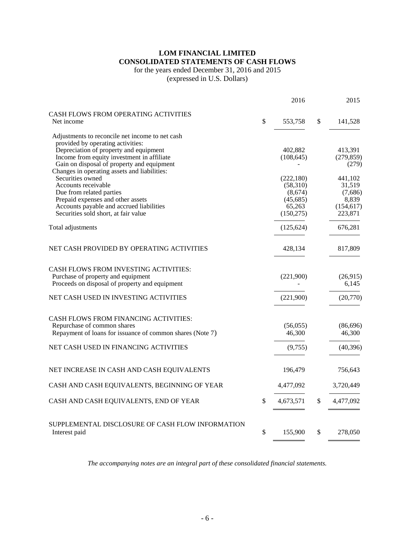# **LOM FINANCIAL LIMITED CONSOLIDATED STATEMENTS OF CASH FLOWS**

# for the years ended December 31, 2016 and 2015

(expressed in U.S. Dollars)

|                                                                                      |               | 2016                  | 2015              |
|--------------------------------------------------------------------------------------|---------------|-----------------------|-------------------|
| CASH FLOWS FROM OPERATING ACTIVITIES<br>Net income                                   | $\mathcal{S}$ | 553,758               | \$<br>141,528     |
|                                                                                      |               |                       |                   |
| Adjustments to reconcile net income to net cash<br>provided by operating activities: |               |                       |                   |
| Depreciation of property and equipment                                               |               | 402,882               | 413,391           |
| Income from equity investment in affiliate                                           |               | (108, 645)            | (279, 859)        |
| Gain on disposal of property and equipment                                           |               |                       | (279)             |
| Changes in operating assets and liabilities:                                         |               |                       |                   |
| Securities owned<br>Accounts receivable                                              |               | (222,180)<br>(58,310) | 441,102<br>31,519 |
| Due from related parties                                                             |               | (8,674)               | (7,686)           |
| Prepaid expenses and other assets                                                    |               | (45,685)              | 8,839             |
| Accounts payable and accrued liabilities                                             |               | 65,263                | (154, 617)        |
| Securities sold short, at fair value                                                 |               | (150, 275)            | 223,871           |
| Total adjustments                                                                    |               | (125, 624)            | 676,281           |
| NET CASH PROVIDED BY OPERATING ACTIVITIES                                            |               | 428,134               | 817,809           |
|                                                                                      |               |                       |                   |
| <b>CASH FLOWS FROM INVESTING ACTIVITIES:</b>                                         |               |                       |                   |
| Purchase of property and equipment<br>Proceeds on disposal of property and equipment |               | (221,900)             | (26,915)<br>6,145 |
|                                                                                      |               |                       |                   |
| NET CASH USED IN INVESTING ACTIVITIES                                                |               | (221,900)             | (20,770)          |
| CASH FLOWS FROM FINANCING ACTIVITIES:                                                |               |                       |                   |
| Repurchase of common shares                                                          |               | (56,055)              | (86, 696)         |
| Repayment of loans for issuance of common shares (Note 7)                            |               | 46,300                | 46,300            |
| NET CASH USED IN FINANCING ACTIVITIES                                                |               | (9,755)               | (40, 396)         |
| NET INCREASE IN CASH AND CASH EQUIVALENTS                                            |               | 196,479               | 756,643           |
| CASH AND CASH EQUIVALENTS, BEGINNING OF YEAR                                         |               | 4,477,092             | 3,720,449         |
| CASH AND CASH EQUIVALENTS, END OF YEAR                                               | \$            | 4,673,571             | \$<br>4,477,092   |
|                                                                                      |               |                       |                   |
| SUPPLEMENTAL DISCLOSURE OF CASH FLOW INFORMATION                                     |               |                       |                   |
| Interest paid                                                                        | \$            | 155,900               | \$<br>278,050     |

*The accompanying notes are an integral part of these consolidated financial statements.*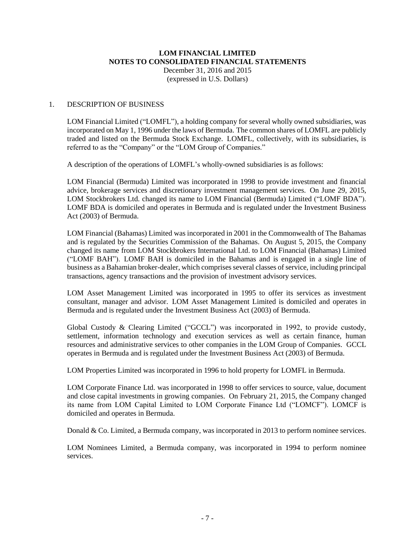(expressed in U.S. Dollars)

# 1. DESCRIPTION OF BUSINESS

LOM Financial Limited ("LOMFL"), a holding company for several wholly owned subsidiaries, was incorporated on May 1, 1996 under the laws of Bermuda. The common shares of LOMFL are publicly traded and listed on the Bermuda Stock Exchange. LOMFL, collectively, with its subsidiaries, is referred to as the "Company" or the "LOM Group of Companies."

A description of the operations of LOMFL's wholly-owned subsidiaries is as follows:

LOM Financial (Bermuda) Limited was incorporated in 1998 to provide investment and financial advice, brokerage services and discretionary investment management services. On June 29, 2015, LOM Stockbrokers Ltd. changed its name to LOM Financial (Bermuda) Limited ("LOMF BDA"). LOMF BDA is domiciled and operates in Bermuda and is regulated under the Investment Business Act (2003) of Bermuda.

LOM Financial (Bahamas) Limited was incorporated in 2001 in the Commonwealth of The Bahamas and is regulated by the Securities Commission of the Bahamas. On August 5, 2015, the Company changed its name from LOM Stockbrokers International Ltd. to LOM Financial (Bahamas) Limited ("LOMF BAH"). LOMF BAH is domiciled in the Bahamas and is engaged in a single line of business as a Bahamian broker-dealer, which comprises several classes of service, including principal transactions, agency transactions and the provision of investment advisory services.

LOM Asset Management Limited was incorporated in 1995 to offer its services as investment consultant, manager and advisor. LOM Asset Management Limited is domiciled and operates in Bermuda and is regulated under the Investment Business Act (2003) of Bermuda.

Global Custody & Clearing Limited ("GCCL") was incorporated in 1992, to provide custody, settlement, information technology and execution services as well as certain finance, human resources and administrative services to other companies in the LOM Group of Companies. GCCL operates in Bermuda and is regulated under the Investment Business Act (2003) of Bermuda.

LOM Properties Limited was incorporated in 1996 to hold property for LOMFL in Bermuda.

LOM Corporate Finance Ltd. was incorporated in 1998 to offer services to source, value, document and close capital investments in growing companies. On February 21, 2015, the Company changed its name from LOM Capital Limited to LOM Corporate Finance Ltd ("LOMCF"). LOMCF is domiciled and operates in Bermuda.

Donald & Co. Limited, a Bermuda company, was incorporated in 2013 to perform nominee services.

LOM Nominees Limited, a Bermuda company, was incorporated in 1994 to perform nominee services.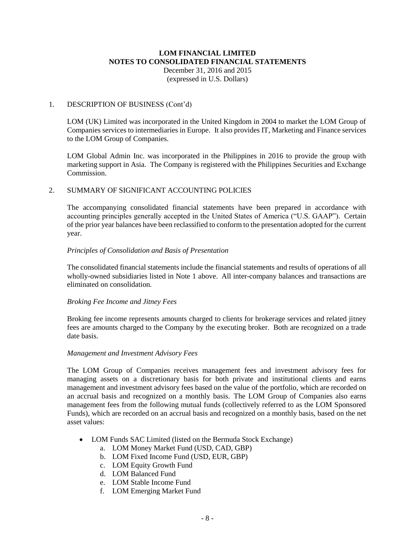(expressed in U.S. Dollars)

#### 1. DESCRIPTION OF BUSINESS (Cont'd)

LOM (UK) Limited was incorporated in the United Kingdom in 2004 to market the LOM Group of Companies services to intermediaries in Europe. It also provides IT, Marketing and Finance services to the LOM Group of Companies.

LOM Global Admin Inc. was incorporated in the Philippines in 2016 to provide the group with marketing support in Asia. The Company is registered with the Philippines Securities and Exchange Commission.

#### 2. SUMMARY OF SIGNIFICANT ACCOUNTING POLICIES

The accompanying consolidated financial statements have been prepared in accordance with accounting principles generally accepted in the United States of America ("U.S. GAAP"). Certain of the prior year balances have been reclassified to conform to the presentation adopted for the current year.

#### *Principles of Consolidation and Basis of Presentation*

The consolidated financial statements include the financial statements and results of operations of all wholly-owned subsidiaries listed in Note 1 above. All inter-company balances and transactions are eliminated on consolidation.

#### *Broking Fee Income and Jitney Fees*

Broking fee income represents amounts charged to clients for brokerage services and related jitney fees are amounts charged to the Company by the executing broker. Both are recognized on a trade date basis.

#### *Management and Investment Advisory Fees*

The LOM Group of Companies receives management fees and investment advisory fees for managing assets on a discretionary basis for both private and institutional clients and earns management and investment advisory fees based on the value of the portfolio, which are recorded on an accrual basis and recognized on a monthly basis. The LOM Group of Companies also earns management fees from the following mutual funds (collectively referred to as the LOM Sponsored Funds), which are recorded on an accrual basis and recognized on a monthly basis, based on the net asset values:

- LOM Funds SAC Limited (listed on the Bermuda Stock Exchange)
	- a. LOM Money Market Fund (USD, CAD, GBP)
	- b. LOM Fixed Income Fund (USD, EUR, GBP)
	- c. LOM Equity Growth Fund
	- d. LOM Balanced Fund
	- e. LOM Stable Income Fund
	- f. LOM Emerging Market Fund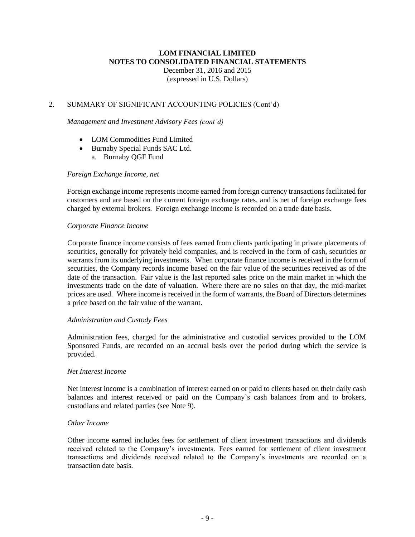(expressed in U.S. Dollars)

# 2. SUMMARY OF SIGNIFICANT ACCOUNTING POLICIES (Cont'd)

*Management and Investment Advisory Fees (cont'd)*

- LOM Commodities Fund Limited
- Burnaby Special Funds SAC Ltd.
	- a. Burnaby QGF Fund

#### *Foreign Exchange Income, net*

Foreign exchange income represents income earned from foreign currency transactions facilitated for customers and are based on the current foreign exchange rates, and is net of foreign exchange fees charged by external brokers. Foreign exchange income is recorded on a trade date basis.

#### *Corporate Finance Income*

Corporate finance income consists of fees earned from clients participating in private placements of securities, generally for privately held companies, and is received in the form of cash, securities or warrants from its underlying investments. When corporate finance income is received in the form of securities, the Company records income based on the fair value of the securities received as of the date of the transaction. Fair value is the last reported sales price on the main market in which the investments trade on the date of valuation. Where there are no sales on that day, the mid-market prices are used. Where income is received in the form of warrants, the Board of Directors determines a price based on the fair value of the warrant.

#### *Administration and Custody Fees*

Administration fees, charged for the administrative and custodial services provided to the LOM Sponsored Funds, are recorded on an accrual basis over the period during which the service is provided.

#### *Net Interest Income*

Net interest income is a combination of interest earned on or paid to clients based on their daily cash balances and interest received or paid on the Company's cash balances from and to brokers, custodians and related parties (see Note 9).

#### *Other Income*

Other income earned includes fees for settlement of client investment transactions and dividends received related to the Company's investments. Fees earned for settlement of client investment transactions and dividends received related to the Company's investments are recorded on a transaction date basis.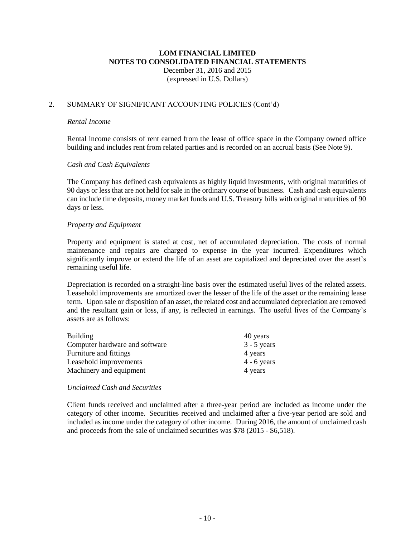#### 2. SUMMARY OF SIGNIFICANT ACCOUNTING POLICIES (Cont'd)

#### *Rental Income*

Rental income consists of rent earned from the lease of office space in the Company owned office building and includes rent from related parties and is recorded on an accrual basis (See Note 9).

#### *Cash and Cash Equivalents*

The Company has defined cash equivalents as highly liquid investments, with original maturities of 90 days or less that are not held for sale in the ordinary course of business. Cash and cash equivalents can include time deposits, money market funds and U.S. Treasury bills with original maturities of 90 days or less.

#### *Property and Equipment*

Property and equipment is stated at cost, net of accumulated depreciation. The costs of normal maintenance and repairs are charged to expense in the year incurred. Expenditures which significantly improve or extend the life of an asset are capitalized and depreciated over the asset's remaining useful life.

Depreciation is recorded on a straight-line basis over the estimated useful lives of the related assets. Leasehold improvements are amortized over the lesser of the life of the asset or the remaining lease term. Upon sale or disposition of an asset, the related cost and accumulated depreciation are removed and the resultant gain or loss, if any, is reflected in earnings. The useful lives of the Company's assets are as follows:

| <b>Building</b>                | 40 years      |
|--------------------------------|---------------|
| Computer hardware and software | $3 - 5$ years |
| Furniture and fittings         | 4 years       |
| Leasehold improvements         | $4 - 6$ years |
| Machinery and equipment        | 4 years       |

#### *Unclaimed Cash and Securities*

Client funds received and unclaimed after a three-year period are included as income under the category of other income. Securities received and unclaimed after a five-year period are sold and included as income under the category of other income. During 2016, the amount of unclaimed cash and proceeds from the sale of unclaimed securities was \$78 (2015 - \$6,518).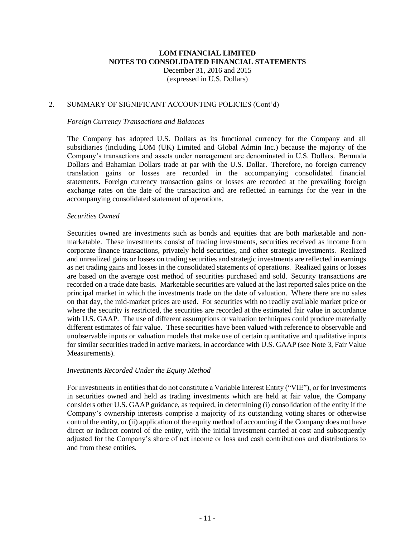(expressed in U.S. Dollars)

# 2. SUMMARY OF SIGNIFICANT ACCOUNTING POLICIES (Cont'd)

#### *Foreign Currency Transactions and Balances*

The Company has adopted U.S. Dollars as its functional currency for the Company and all subsidiaries (including LOM (UK) Limited and Global Admin Inc.) because the majority of the Company's transactions and assets under management are denominated in U.S. Dollars. Bermuda Dollars and Bahamian Dollars trade at par with the U.S. Dollar. Therefore, no foreign currency translation gains or losses are recorded in the accompanying consolidated financial statements. Foreign currency transaction gains or losses are recorded at the prevailing foreign exchange rates on the date of the transaction and are reflected in earnings for the year in the accompanying consolidated statement of operations.

#### *Securities Owned*

Securities owned are investments such as bonds and equities that are both marketable and nonmarketable. These investments consist of trading investments, securities received as income from corporate finance transactions, privately held securities, and other strategic investments. Realized and unrealized gains or losses on trading securities and strategic investments are reflected in earnings as net trading gains and losses in the consolidated statements of operations. Realized gains or losses are based on the average cost method of securities purchased and sold. Security transactions are recorded on a trade date basis. Marketable securities are valued at the last reported sales price on the principal market in which the investments trade on the date of valuation. Where there are no sales on that day, the mid-market prices are used. For securities with no readily available market price or where the security is restricted, the securities are recorded at the estimated fair value in accordance with U.S. GAAP. The use of different assumptions or valuation techniques could produce materially different estimates of fair value. These securities have been valued with reference to observable and unobservable inputs or valuation models that make use of certain quantitative and qualitative inputs for similar securities traded in active markets, in accordance with U.S. GAAP (see Note 3, Fair Value Measurements).

#### *Investments Recorded Under the Equity Method*

For investments in entities that do not constitute a Variable Interest Entity ("VIE"), or for investments in securities owned and held as trading investments which are held at fair value, the Company considers other U.S. GAAP guidance, as required, in determining (i) consolidation of the entity if the Company's ownership interests comprise a majority of its outstanding voting shares or otherwise control the entity, or (ii) application of the equity method of accounting if the Company does not have direct or indirect control of the entity, with the initial investment carried at cost and subsequently adjusted for the Company's share of net income or loss and cash contributions and distributions to and from these entities.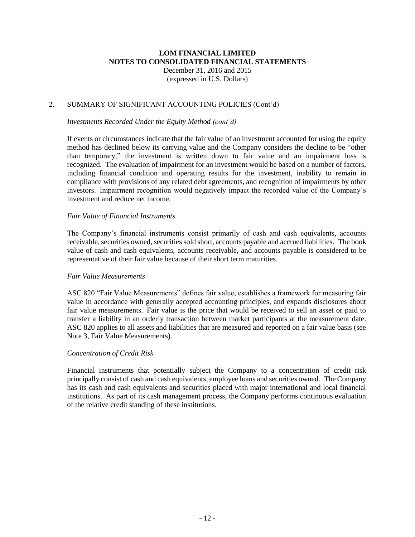(expressed in U.S. Dollars)

# 2. SUMMARY OF SIGNIFICANT ACCOUNTING POLICIES (Cont'd)

#### *Investments Recorded Under the Equity Method (cont'd)*

If events or circumstances indicate that the fair value of an investment accounted for using the equity method has declined below its carrying value and the Company considers the decline to be "other than temporary," the investment is written down to fair value and an impairment loss is recognized. The evaluation of impairment for an investment would be based on a number of factors, including financial condition and operating results for the investment, inability to remain in compliance with provisions of any related debt agreements, and recognition of impairments by other investors. Impairment recognition would negatively impact the recorded value of the Company's investment and reduce net income.

#### *Fair Value of Financial Instruments*

The Company's financial instruments consist primarily of cash and cash equivalents, accounts receivable, securities owned, securities sold short, accounts payable and accrued liabilities. The book value of cash and cash equivalents, accounts receivable, and accounts payable is considered to be representative of their fair value because of their short term maturities.

#### *Fair Value Measurements*

ASC 820 "Fair Value Measurements" defines fair value, establishes a framework for measuring fair value in accordance with generally accepted accounting principles, and expands disclosures about fair value measurements. Fair value is the price that would be received to sell an asset or paid to transfer a liability in an orderly transaction between market participants at the measurement date. ASC 820 applies to all assets and liabilities that are measured and reported on a fair value basis (see Note 3, Fair Value Measurements).

#### *Concentration of Credit Risk*

Financial instruments that potentially subject the Company to a concentration of credit risk principally consist of cash and cash equivalents, employee loans and securities owned. The Company has its cash and cash equivalents and securities placed with major international and local financial institutions. As part of its cash management process, the Company performs continuous evaluation of the relative credit standing of these institutions.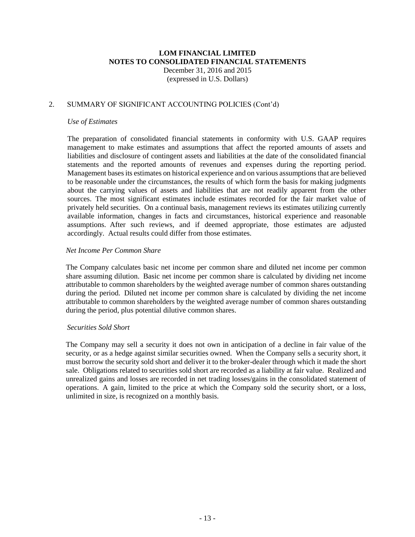(expressed in U.S. Dollars)

# 2. SUMMARY OF SIGNIFICANT ACCOUNTING POLICIES (Cont'd)

#### *Use of Estimates*

The preparation of consolidated financial statements in conformity with U.S. GAAP requires management to make estimates and assumptions that affect the reported amounts of assets and liabilities and disclosure of contingent assets and liabilities at the date of the consolidated financial statements and the reported amounts of revenues and expenses during the reporting period. Management bases its estimates on historical experience and on various assumptions that are believed to be reasonable under the circumstances, the results of which form the basis for making judgments about the carrying values of assets and liabilities that are not readily apparent from the other sources. The most significant estimates include estimates recorded for the fair market value of privately held securities. On a continual basis, management reviews its estimates utilizing currently available information, changes in facts and circumstances, historical experience and reasonable assumptions. After such reviews, and if deemed appropriate, those estimates are adjusted accordingly. Actual results could differ from those estimates.

#### *Net Income Per Common Share*

The Company calculates basic net income per common share and diluted net income per common share assuming dilution. Basic net income per common share is calculated by dividing net income attributable to common shareholders by the weighted average number of common shares outstanding during the period. Diluted net income per common share is calculated by dividing the net income attributable to common shareholders by the weighted average number of common shares outstanding during the period, plus potential dilutive common shares.

#### *Securities Sold Short*

The Company may sell a security it does not own in anticipation of a decline in fair value of the security, or as a hedge against similar securities owned. When the Company sells a security short, it must borrow the security sold short and deliver it to the broker-dealer through which it made the short sale. Obligations related to securities sold short are recorded as a liability at fair value. Realized and unrealized gains and losses are recorded in net trading losses/gains in the consolidated statement of operations. A gain, limited to the price at which the Company sold the security short, or a loss, unlimited in size, is recognized on a monthly basis.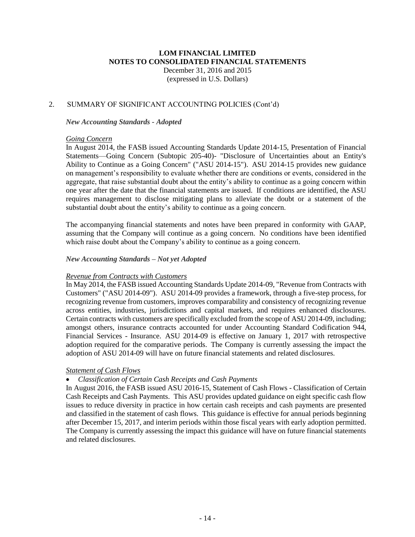December 31, 2016 and 2015 (expressed in U.S. Dollars)

#### 2. SUMMARY OF SIGNIFICANT ACCOUNTING POLICIES (Cont'd)

#### *New Accounting Standards - Adopted*

#### *Going Concern*

In August 2014, the FASB issued Accounting Standards Update 2014-15, Presentation of Financial Statements—Going Concern (Subtopic 205-40)- "Disclosure of Uncertainties about an Entity's Ability to Continue as a Going Concern" ("ASU 2014-15"). ASU 2014-15 provides new guidance on management's responsibility to evaluate whether there are conditions or events, considered in the aggregate, that raise substantial doubt about the entity's ability to continue as a going concern within one year after the date that the financial statements are issued. If conditions are identified, the ASU requires management to disclose mitigating plans to alleviate the doubt or a statement of the substantial doubt about the entity's ability to continue as a going concern.

The accompanying financial statements and notes have been prepared in conformity with GAAP, assuming that the Company will continue as a going concern. No conditions have been identified which raise doubt about the Company's ability to continue as a going concern.

#### *New Accounting Standards – Not yet Adopted*

#### *Revenue from Contracts with Customers*

In May 2014, the FASB issued Accounting Standards Update 2014-09, "Revenue from Contracts with Customers" ("ASU 2014-09"). ASU 2014-09 provides a framework, through a five-step process, for recognizing revenue from customers, improves comparability and consistency of recognizing revenue across entities, industries, jurisdictions and capital markets, and requires enhanced disclosures. Certain contracts with customers are specifically excluded from the scope of ASU 2014-09, including; amongst others, insurance contracts accounted for under Accounting Standard Codification 944, Financial Services - Insurance. ASU 2014-09 is effective on January 1, 2017 with retrospective adoption required for the comparative periods. The Company is currently assessing the impact the adoption of ASU 2014-09 will have on future financial statements and related disclosures.

#### *Statement of Cash Flows*

#### *Classification of Certain Cash Receipts and Cash Payments*

In August 2016, the FASB issued ASU 2016-15, Statement of Cash Flows - Classification of Certain Cash Receipts and Cash Payments. This ASU provides updated guidance on eight specific cash flow issues to reduce diversity in practice in how certain cash receipts and cash payments are presented and classified in the statement of cash flows. This guidance is effective for annual periods beginning after December 15, 2017, and interim periods within those fiscal years with early adoption permitted. The Company is currently assessing the impact this guidance will have on future financial statements and related disclosures.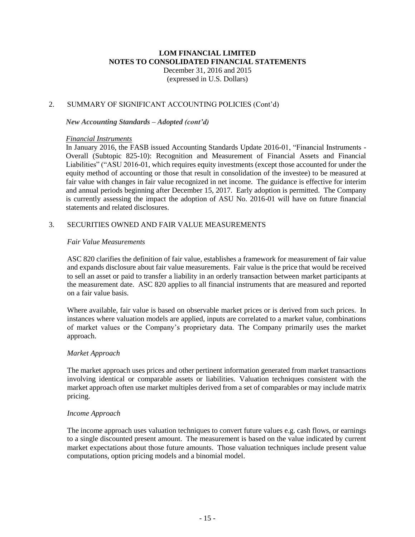December 31, 2016 and 2015 (expressed in U.S. Dollars)

# 2. SUMMARY OF SIGNIFICANT ACCOUNTING POLICIES (Cont'd)

#### *New Accounting Standards – Adopted (cont'd)*

#### *Financial Instruments*

In January 2016, the FASB issued Accounting Standards Update 2016-01, "Financial Instruments - Overall (Subtopic 825-10): Recognition and Measurement of Financial Assets and Financial Liabilities" ("ASU 2016-01, which requires equity investments (except those accounted for under the equity method of accounting or those that result in consolidation of the investee) to be measured at fair value with changes in fair value recognized in net income. The guidance is effective for interim and annual periods beginning after December 15, 2017. Early adoption is permitted. The Company is currently assessing the impact the adoption of ASU No. 2016-01 will have on future financial statements and related disclosures.

#### 3. SECURITIES OWNED AND FAIR VALUE MEASUREMENTS

#### *Fair Value Measurements*

ASC 820 clarifies the definition of fair value, establishes a framework for measurement of fair value and expands disclosure about fair value measurements. Fair value is the price that would be received to sell an asset or paid to transfer a liability in an orderly transaction between market participants at the measurement date. ASC 820 applies to all financial instruments that are measured and reported on a fair value basis.

Where available, fair value is based on observable market prices or is derived from such prices. In instances where valuation models are applied, inputs are correlated to a market value, combinations of market values or the Company's proprietary data. The Company primarily uses the market approach.

#### *Market Approach*

The market approach uses prices and other pertinent information generated from market transactions involving identical or comparable assets or liabilities. Valuation techniques consistent with the market approach often use market multiples derived from a set of comparables or may include matrix pricing.

#### *Income Approach*

The income approach uses valuation techniques to convert future values e.g. cash flows, or earnings to a single discounted present amount. The measurement is based on the value indicated by current market expectations about those future amounts. Those valuation techniques include present value computations, option pricing models and a binomial model.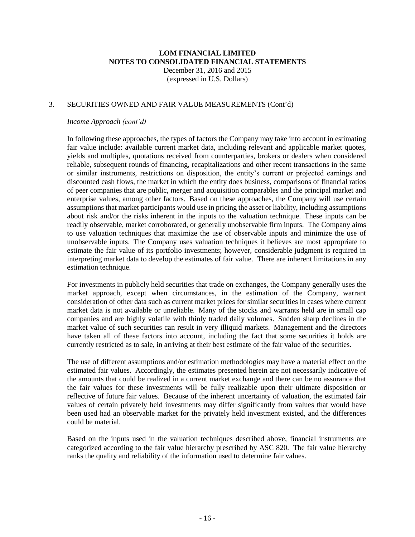(expressed in U.S. Dollars)

# 3. SECURITIES OWNED AND FAIR VALUE MEASUREMENTS (Cont'd)

#### *Income Approach (cont'd)*

In following these approaches, the types of factors the Company may take into account in estimating fair value include: available current market data, including relevant and applicable market quotes, yields and multiples, quotations received from counterparties, brokers or dealers when considered reliable, subsequent rounds of financing, recapitalizations and other recent transactions in the same or similar instruments, restrictions on disposition, the entity's current or projected earnings and discounted cash flows, the market in which the entity does business, comparisons of financial ratios of peer companies that are public, merger and acquisition comparables and the principal market and enterprise values, among other factors. Based on these approaches, the Company will use certain assumptions that market participants would use in pricing the asset or liability, including assumptions about risk and/or the risks inherent in the inputs to the valuation technique. These inputs can be readily observable, market corroborated, or generally unobservable firm inputs. The Company aims to use valuation techniques that maximize the use of observable inputs and minimize the use of unobservable inputs. The Company uses valuation techniques it believes are most appropriate to estimate the fair value of its portfolio investments; however, considerable judgment is required in interpreting market data to develop the estimates of fair value. There are inherent limitations in any estimation technique.

For investments in publicly held securities that trade on exchanges, the Company generally uses the market approach, except when circumstances, in the estimation of the Company, warrant consideration of other data such as current market prices for similar securities in cases where current market data is not available or unreliable. Many of the stocks and warrants held are in small cap companies and are highly volatile with thinly traded daily volumes. Sudden sharp declines in the market value of such securities can result in very illiquid markets. Management and the directors have taken all of these factors into account, including the fact that some securities it holds are currently restricted as to sale, in arriving at their best estimate of the fair value of the securities.

The use of different assumptions and/or estimation methodologies may have a material effect on the estimated fair values. Accordingly, the estimates presented herein are not necessarily indicative of the amounts that could be realized in a current market exchange and there can be no assurance that the fair values for these investments will be fully realizable upon their ultimate disposition or reflective of future fair values. Because of the inherent uncertainty of valuation, the estimated fair values of certain privately held investments may differ significantly from values that would have been used had an observable market for the privately held investment existed, and the differences could be material.

Based on the inputs used in the valuation techniques described above, financial instruments are categorized according to the fair value hierarchy prescribed by ASC 820. The fair value hierarchy ranks the quality and reliability of the information used to determine fair values.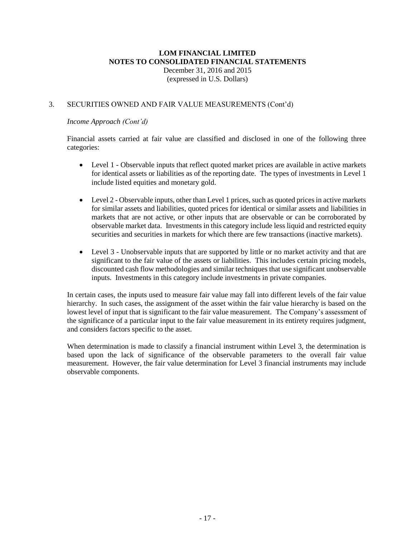#### 3. SECURITIES OWNED AND FAIR VALUE MEASUREMENTS (Cont'd)

#### *Income Approach (Cont'd)*

Financial assets carried at fair value are classified and disclosed in one of the following three categories:

- Level 1 Observable inputs that reflect quoted market prices are available in active markets for identical assets or liabilities as of the reporting date. The types of investments in Level 1 include listed equities and monetary gold.
- Level 2 Observable inputs, other than Level 1 prices, such as quoted prices in active markets for similar assets and liabilities, quoted prices for identical or similar assets and liabilities in markets that are not active, or other inputs that are observable or can be corroborated by observable market data. Investments in this category include less liquid and restricted equity securities and securities in markets for which there are few transactions (inactive markets).
- Level 3 Unobservable inputs that are supported by little or no market activity and that are significant to the fair value of the assets or liabilities. This includes certain pricing models, discounted cash flow methodologies and similar techniques that use significant unobservable inputs. Investments in this category include investments in private companies.

In certain cases, the inputs used to measure fair value may fall into different levels of the fair value hierarchy. In such cases, the assignment of the asset within the fair value hierarchy is based on the lowest level of input that is significant to the fair value measurement. The Company's assessment of the significance of a particular input to the fair value measurement in its entirety requires judgment, and considers factors specific to the asset.

When determination is made to classify a financial instrument within Level 3, the determination is based upon the lack of significance of the observable parameters to the overall fair value measurement. However, the fair value determination for Level 3 financial instruments may include observable components.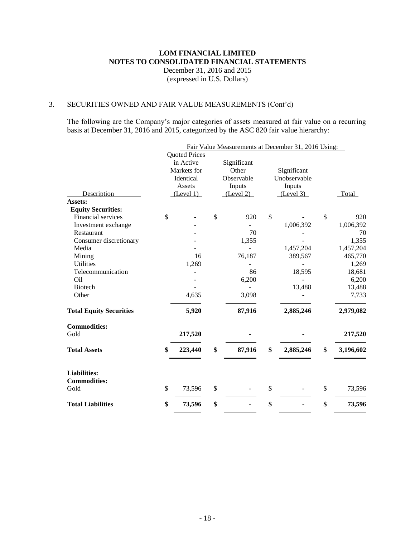#### 3. SECURITIES OWNED AND FAIR VALUE MEASUREMENTS (Cont'd)

The following are the Company's major categories of assets measured at fair value on a recurring basis at December 31, 2016 and 2015, categorized by the ASC 820 fair value hierarchy:

|                                            |                      | Fair Value Measurements at December 31, 2016 Using: |                 |                 |
|--------------------------------------------|----------------------|-----------------------------------------------------|-----------------|-----------------|
|                                            | <b>Quoted Prices</b> |                                                     |                 |                 |
|                                            | in Active            | Significant                                         |                 |                 |
|                                            | Markets for          | Other                                               | Significant     |                 |
|                                            | Identical            | Observable                                          | Unobservable    |                 |
|                                            | Assets               | Inputs                                              | Inputs          |                 |
| Description                                | (Level 1)            | (Level 2)                                           | (Level 3)       | Total           |
| Assets:                                    |                      |                                                     |                 |                 |
| <b>Equity Securities:</b>                  |                      |                                                     |                 |                 |
| Financial services                         | \$                   | \$<br>920                                           | \$              | \$<br>920       |
| Investment exchange                        |                      |                                                     | 1,006,392       | 1,006,392       |
| Restaurant                                 |                      | 70                                                  |                 | 70              |
| Consumer discretionary                     |                      | 1,355                                               |                 | 1,355           |
| Media                                      |                      |                                                     | 1,457,204       | 1,457,204       |
| Mining                                     | 16                   | 76,187                                              | 389,567         | 465,770         |
| <b>Utilities</b>                           | 1,269                |                                                     |                 | 1,269           |
| Telecommunication                          |                      | 86                                                  | 18,595          | 18,681          |
| O <sub>il</sub>                            |                      | 6,200                                               |                 | 6,200           |
| <b>Biotech</b>                             |                      |                                                     | 13,488          | 13,488          |
| Other                                      | 4,635                | 3,098                                               |                 | 7,733           |
| <b>Total Equity Securities</b>             | 5,920                | 87,916                                              | 2,885,246       | 2,979,082       |
| <b>Commodities:</b>                        |                      |                                                     |                 |                 |
| Gold                                       | 217,520              |                                                     |                 | 217,520         |
| <b>Total Assets</b>                        | \$<br>223,440        | \$<br>87,916                                        | \$<br>2,885,246 | \$<br>3,196,602 |
| <b>Liabilities:</b><br><b>Commodities:</b> |                      |                                                     |                 |                 |
| Gold                                       | \$<br>73,596         | \$                                                  | \$              | \$<br>73,596    |
| <b>Total Liabilities</b>                   | \$<br>73,596         | \$                                                  | \$              | \$<br>73,596    |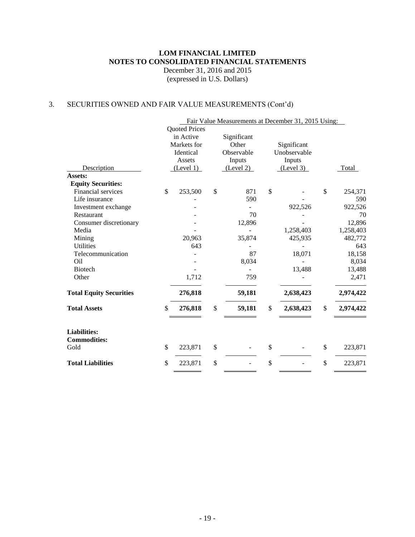# 3. SECURITIES OWNED AND FAIR VALUE MEASUREMENTS (Cont'd)

|                                            |                      | Fair Value Measurements at December 31, 2015 Using: |                 |                 |
|--------------------------------------------|----------------------|-----------------------------------------------------|-----------------|-----------------|
|                                            | <b>Quoted Prices</b> |                                                     |                 |                 |
|                                            | in Active            | Significant                                         |                 |                 |
|                                            | Markets for          | Other                                               | Significant     |                 |
|                                            | Identical            | Observable                                          | Unobservable    |                 |
|                                            | Assets               | Inputs                                              | Inputs          |                 |
| Description                                | (Level 1)            | (Level 2)                                           | (Level 3)       | Total           |
| Assets:                                    |                      |                                                     |                 |                 |
| <b>Equity Securities:</b>                  |                      |                                                     |                 |                 |
| Financial services                         | \$<br>253,500        | \$<br>871                                           | \$              | \$<br>254,371   |
| Life insurance                             |                      | 590                                                 |                 | 590             |
| Investment exchange                        |                      |                                                     | 922,526         | 922,526         |
| Restaurant                                 |                      | 70                                                  |                 | 70              |
| Consumer discretionary                     |                      | 12,896                                              |                 | 12,896          |
| Media                                      |                      |                                                     | 1,258,403       | 1,258,403       |
| Mining                                     | 20,963               | 35,874                                              | 425,935         | 482,772         |
| <b>Utilities</b>                           | 643                  |                                                     |                 | 643             |
| Telecommunication                          |                      | 87                                                  | 18,071          | 18,158          |
| O <sub>il</sub>                            |                      | 8,034                                               |                 | 8,034           |
| <b>Biotech</b>                             |                      |                                                     | 13,488          | 13,488          |
| Other                                      | 1,712                | 759                                                 |                 | 2,471           |
| <b>Total Equity Securities</b>             | 276,818              | 59,181                                              | 2,638,423       | 2,974,422       |
| <b>Total Assets</b>                        | \$<br>276,818        | \$<br>59,181                                        | \$<br>2,638,423 | \$<br>2,974,422 |
| <b>Liabilities:</b><br><b>Commodities:</b> |                      |                                                     |                 |                 |
| Gold                                       | \$<br>223,871        | \$                                                  | \$              | \$<br>223,871   |
| <b>Total Liabilities</b>                   | \$<br>223,871        | \$                                                  | \$              | \$<br>223,871   |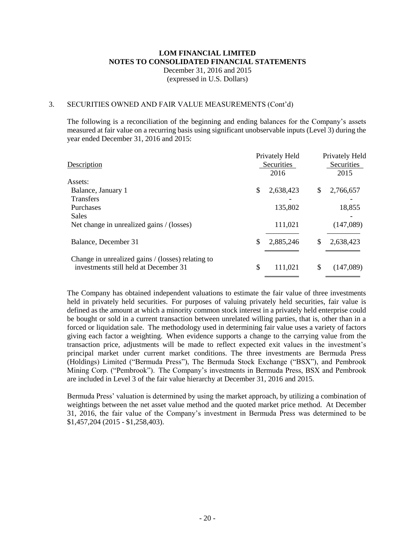#### 3. SECURITIES OWNED AND FAIR VALUE MEASUREMENTS (Cont'd)

The following is a reconciliation of the beginning and ending balances for the Company's assets measured at fair value on a recurring basis using significant unobservable inputs (Level 3) during the year ended December 31, 2016 and 2015:

| 2016            |                                           | Privately Held<br>Securities<br>2015 |
|-----------------|-------------------------------------------|--------------------------------------|
|                 |                                           |                                      |
| \$<br>2,638,423 | \$.                                       | 2,766,657                            |
|                 |                                           |                                      |
| 135,802         |                                           | 18,855                               |
|                 |                                           |                                      |
| 111,021         |                                           | (147,089)                            |
|                 |                                           |                                      |
| \$              | \$.                                       | 2,638,423                            |
|                 |                                           |                                      |
| \$<br>111,021   | \$                                        | (147,089)                            |
|                 | Privately Held<br>Securities<br>2,885,246 |                                      |

The Company has obtained independent valuations to estimate the fair value of three investments held in privately held securities. For purposes of valuing privately held securities, fair value is defined as the amount at which a minority common stock interest in a privately held enterprise could be bought or sold in a current transaction between unrelated willing parties, that is, other than in a forced or liquidation sale. The methodology used in determining fair value uses a variety of factors giving each factor a weighting. When evidence supports a change to the carrying value from the transaction price, adjustments will be made to reflect expected exit values in the investment's principal market under current market conditions. The three investments are Bermuda Press (Holdings) Limited ("Bermuda Press"), The Bermuda Stock Exchange ("BSX"), and Pembrook Mining Corp. ("Pembrook"). The Company's investments in Bermuda Press, BSX and Pembrook are included in Level 3 of the fair value hierarchy at December 31, 2016 and 2015.

Bermuda Press' valuation is determined by using the market approach, by utilizing a combination of weightings between the net asset value method and the quoted market price method. At December 31, 2016, the fair value of the Company's investment in Bermuda Press was determined to be \$1,457,204 (2015 - \$1,258,403).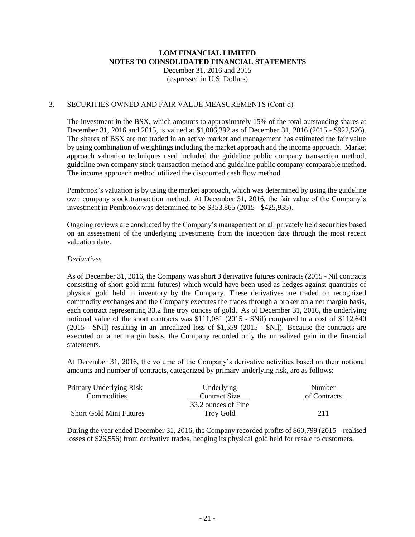#### 3. SECURITIES OWNED AND FAIR VALUE MEASUREMENTS (Cont'd)

The investment in the BSX, which amounts to approximately 15% of the total outstanding shares at December 31, 2016 and 2015, is valued at \$1,006,392 as of December 31, 2016 (2015 - \$922,526). The shares of BSX are not traded in an active market and management has estimated the fair value by using combination of weightings including the market approach and the income approach. Market approach valuation techniques used included the guideline public company transaction method, guideline own company stock transaction method and guideline public company comparable method. The income approach method utilized the discounted cash flow method.

Pembrook's valuation is by using the market approach, which was determined by using the guideline own company stock transaction method. At December 31, 2016, the fair value of the Company's investment in Pembrook was determined to be \$353,865 (2015 - \$425,935).

Ongoing reviews are conducted by the Company's management on all privately held securities based on an assessment of the underlying investments from the inception date through the most recent valuation date.

#### *Derivatives*

As of December 31, 2016, the Company was short 3 derivative futures contracts (2015 - Nil contracts consisting of short gold mini futures) which would have been used as hedges against quantities of physical gold held in inventory by the Company. These derivatives are traded on recognized commodity exchanges and the Company executes the trades through a broker on a net margin basis, each contract representing 33.2 fine troy ounces of gold. As of December 31, 2016, the underlying notional value of the short contracts was \$111,081 (2015 - \$Nil) compared to a cost of \$112,640 (2015 - \$Nil) resulting in an unrealized loss of \$1,559 (2015 - \$Nil). Because the contracts are executed on a net margin basis, the Company recorded only the unrealized gain in the financial statements.

At December 31, 2016, the volume of the Company's derivative activities based on their notional amounts and number of contracts, categorized by primary underlying risk, are as follows:

| Primary Underlying Risk        | Underlying          | Number       |
|--------------------------------|---------------------|--------------|
| Commodities                    | Contract Size       | of Contracts |
|                                | 33.2 ounces of Fine |              |
| <b>Short Gold Mini Futures</b> | Troy Gold           | 211          |

During the year ended December 31, 2016, the Company recorded profits of \$60,799 (2015 – realised losses of \$26,556) from derivative trades, hedging its physical gold held for resale to customers.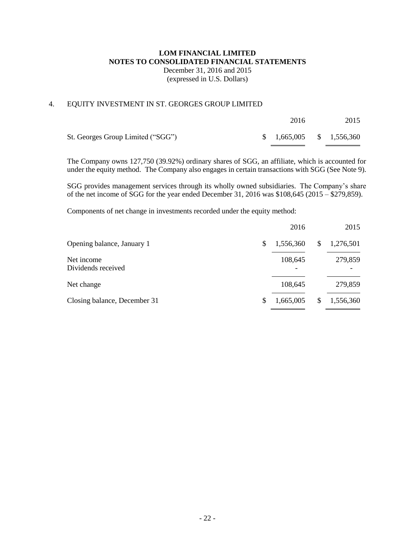(expressed in U.S. Dollars)

# 4. EQUITY INVESTMENT IN ST. GEORGES GROUP LIMITED

|                                   | 2016                      | 2015 |
|-----------------------------------|---------------------------|------|
| St. Georges Group Limited ("SGG") | $$1,665,005$ $$1,556,360$ |      |

The Company owns 127,750 (39.92%) ordinary shares of SGG, an affiliate, which is accounted for under the equity method. The Company also engages in certain transactions with SGG (See Note 9).

SGG provides management services through its wholly owned subsidiaries. The Company's share of the net income of SGG for the year ended December 31, 2016 was  $$108,645$  (2015 –  $$279,859$ ).

Components of net change in investments recorded under the equity method:

|                                  |    | 2016         |    | 2015      |
|----------------------------------|----|--------------|----|-----------|
| Opening balance, January 1       | \$ | 1,556,360    | \$ | 1,276,501 |
| Net income<br>Dividends received |    | 108,645<br>- |    | 279,859   |
| Net change                       |    | 108,645      |    | 279,859   |
| Closing balance, December 31     | S  | 1,665,005    | S  | 1,556,360 |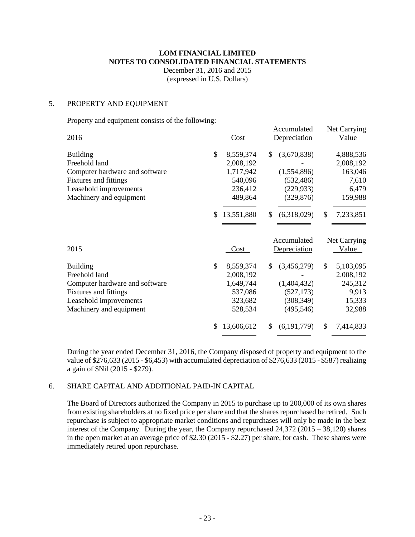December 31, 2016 and 2015

(expressed in U.S. Dollars)

#### 5. PROPERTY AND EQUIPMENT

Property and equipment consists of the following:

| 2016                           |     | Cost       |     | Accumulated<br>Depreciation | Net Carrying<br>Value |
|--------------------------------|-----|------------|-----|-----------------------------|-----------------------|
| <b>Building</b>                | \$  | 8,559,374  | \$. | (3,670,838)                 | 4,888,536             |
| Freehold land                  |     | 2,008,192  |     |                             | 2,008,192             |
| Computer hardware and software |     | 1,717,942  |     | (1,554,896)                 | 163,046               |
| Fixtures and fittings          |     | 540,096    |     | (532, 486)                  | 7,610                 |
| Leasehold improvements         |     | 236,412    |     | (229, 933)                  | 6,479                 |
| Machinery and equipment        |     | 489,864    |     | (329, 876)                  | 159,988               |
|                                | \$  | 13,551,880 | \$  | (6,318,029)                 | \$<br>7,233,851       |
|                                |     |            |     | Accumulated                 | Net Carrying          |
| 2015                           |     | Cost       |     | Depreciation                | Value                 |
| <b>Building</b>                | \$  | 8,559,374  | \$. | (3,456,279)                 | \$<br>5,103,095       |
| Freehold land                  |     | 2,008,192  |     |                             | 2,008,192             |
| Computer hardware and software |     | 1,649,744  |     | (1,404,432)                 | 245,312               |
| Fixtures and fittings          |     | 537,086    |     | (527, 173)                  | 9,913                 |
| Leasehold improvements         |     | 323,682    |     | (308, 349)                  | 15,333                |
| Machinery and equipment        |     | 528,534    |     | (495, 546)                  | 32,988                |
|                                | \$. | 13,606,612 | \$  | (6, 191, 779)               | \$<br>7,414,833       |
|                                |     |            |     |                             |                       |

During the year ended December 31, 2016, the Company disposed of property and equipment to the value of \$276,633 (2015 - \$6,453) with accumulated depreciation of \$276,633 (2015 - \$587) realizing a gain of \$Nil (2015 - \$279).

#### 6. SHARE CAPITAL AND ADDITIONAL PAID-IN CAPITAL

The Board of Directors authorized the Company in 2015 to purchase up to 200,000 of its own shares from existing shareholders at no fixed price per share and that the shares repurchased be retired. Such repurchase is subject to appropriate market conditions and repurchases will only be made in the best interest of the Company. During the year, the Company repurchased 24,372 (2015 – 38,120) shares in the open market at an average price of \$2.30 (2015 - \$2.27) per share, for cash. These shares were immediately retired upon repurchase.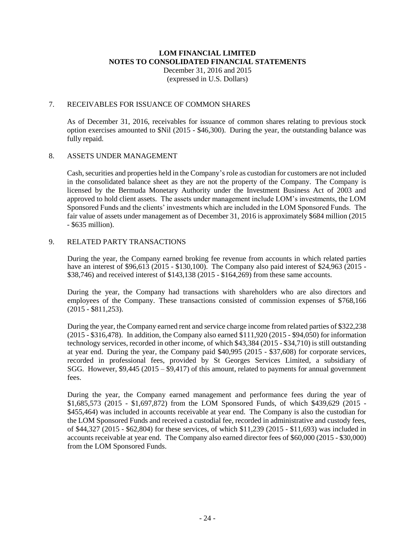(expressed in U.S. Dollars)

# 7. RECEIVABLES FOR ISSUANCE OF COMMON SHARES

As of December 31, 2016, receivables for issuance of common shares relating to previous stock option exercises amounted to \$Nil (2015 - \$46,300). During the year, the outstanding balance was fully repaid.

# 8. ASSETS UNDER MANAGEMENT

Cash, securities and properties held in the Company's role as custodian for customers are not included in the consolidated balance sheet as they are not the property of the Company. The Company is licensed by the Bermuda Monetary Authority under the Investment Business Act of 2003 and approved to hold client assets. The assets under management include LOM's investments, the LOM Sponsored Funds and the clients' investments which are included in the LOM Sponsored Funds. The fair value of assets under management as of December 31, 2016 is approximately \$684 million (2015 - \$635 million).

# 9. RELATED PARTY TRANSACTIONS

During the year, the Company earned broking fee revenue from accounts in which related parties have an interest of \$96,613 (2015 - \$130,100). The Company also paid interest of \$24,963 (2015 - \$38,746) and received interest of \$143,138 (2015 - \$164,269) from these same accounts.

During the year, the Company had transactions with shareholders who are also directors and employees of the Company. These transactions consisted of commission expenses of \$768,166 (2015 - \$811,253).

During the year, the Company earned rent and service charge income from related parties of \$322,238 (2015 - \$316,478). In addition, the Company also earned \$111,920 (2015 - \$94,050) for information technology services, recorded in other income, of which \$43,384 (2015 - \$34,710) is still outstanding at year end. During the year, the Company paid \$40,995 (2015 - \$37,608) for corporate services, recorded in professional fees, provided by St Georges Services Limited, a subsidiary of SGG. However, \$9,445 (2015 – \$9,417) of this amount, related to payments for annual government fees.

During the year, the Company earned management and performance fees during the year of \$1,685,573 (2015 - \$1,697,872) from the LOM Sponsored Funds, of which \$439,629 (2015 - \$455,464) was included in accounts receivable at year end. The Company is also the custodian for the LOM Sponsored Funds and received a custodial fee, recorded in administrative and custody fees, of \$44,327 (2015 - \$62,804) for these services, of which \$11,239 (2015 - \$11,693) was included in accounts receivable at year end. The Company also earned director fees of \$60,000 (2015 - \$30,000) from the LOM Sponsored Funds.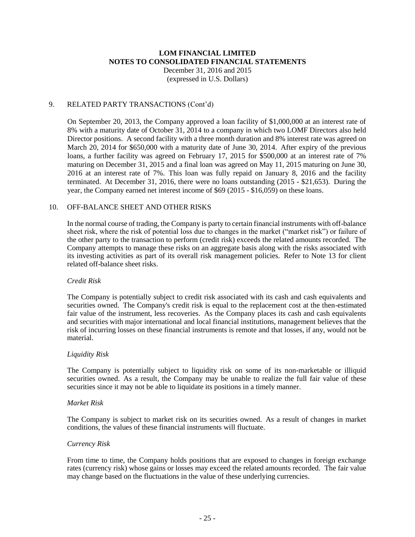(expressed in U.S. Dollars)

# 9. RELATED PARTY TRANSACTIONS (Cont'd)

On September 20, 2013, the Company approved a loan facility of \$1,000,000 at an interest rate of 8% with a maturity date of October 31, 2014 to a company in which two LOMF Directors also held Director positions. A second facility with a three month duration and 8% interest rate was agreed on March 20, 2014 for \$650,000 with a maturity date of June 30, 2014. After expiry of the previous loans, a further facility was agreed on February 17, 2015 for \$500,000 at an interest rate of 7% maturing on December 31, 2015 and a final loan was agreed on May 11, 2015 maturing on June 30, 2016 at an interest rate of 7%. This loan was fully repaid on January 8, 2016 and the facility terminated. At December 31, 2016, there were no loans outstanding (2015 - \$21,653). During the year, the Company earned net interest income of \$69 (2015 - \$16,059) on these loans.

# 10. OFF-BALANCE SHEET AND OTHER RISKS

In the normal course of trading, the Company is party to certain financial instruments with off-balance sheet risk, where the risk of potential loss due to changes in the market ("market risk") or failure of the other party to the transaction to perform (credit risk) exceeds the related amounts recorded. The Company attempts to manage these risks on an aggregate basis along with the risks associated with its investing activities as part of its overall risk management policies. Refer to Note 13 for client related off-balance sheet risks.

#### *Credit Risk*

The Company is potentially subject to credit risk associated with its cash and cash equivalents and securities owned. The Company's credit risk is equal to the replacement cost at the then-estimated fair value of the instrument, less recoveries. As the Company places its cash and cash equivalents and securities with major international and local financial institutions, management believes that the risk of incurring losses on these financial instruments is remote and that losses, if any, would not be material.

#### *Liquidity Risk*

The Company is potentially subject to liquidity risk on some of its non-marketable or illiquid securities owned. As a result, the Company may be unable to realize the full fair value of these securities since it may not be able to liquidate its positions in a timely manner.

#### *Market Risk*

The Company is subject to market risk on its securities owned. As a result of changes in market conditions, the values of these financial instruments will fluctuate.

#### *Currency Risk*

From time to time, the Company holds positions that are exposed to changes in foreign exchange rates (currency risk) whose gains or losses may exceed the related amounts recorded. The fair value may change based on the fluctuations in the value of these underlying currencies.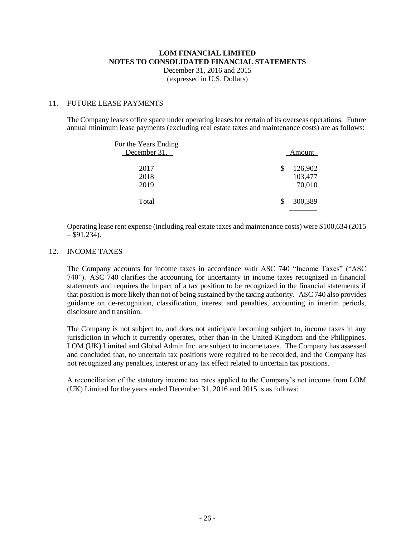December 31, 2016 and 2015 (expressed in U.S. Dollars)

#### 11. FUTURE LEASE PAYMENTS

The Company leases office space under operating leases for certain of its overseas operations. Future annual minimum lease payments (excluding real estate taxes and maintenance costs) are as follows:

| For the Years Ending<br>December 31, |   | Amount                       |
|--------------------------------------|---|------------------------------|
| 2017<br>2018<br>2019                 |   | 126,902<br>103,477<br>70,010 |
| Total                                | S | 300,389                      |

Operating lease rent expense (including real estate taxes and maintenance costs) were \$100,634 (2015  $-$  \$91,234).

#### 12. INCOME TAXES

The Company accounts for income taxes in accordance with ASC 740 "Income Taxes" ("ASC 740"). ASC 740 clarifies the accounting for uncertainty in income taxes recognized in financial statements and requires the impact of a tax position to be recognized in the financial statements if that position is more likely than not of being sustained by the taxing authority. ASC 740 also provides guidance on de-recognition, classification, interest and penalties, accounting in interim periods, disclosure and transition.

The Company is not subject to, and does not anticipate becoming subject to, income taxes in any jurisdiction in which it currently operates, other than in the United Kingdom and the Philippines. LOM (UK) Limited and Global Admin Inc. are subject to income taxes. The Company has assessed and concluded that, no uncertain tax positions were required to be recorded, and the Company has not recognized any penalties, interest or any tax effect related to uncertain tax positions.

A reconciliation of the statutory income tax rates applied to the Company's net income from LOM (UK) Limited for the years ended December 31, 2016 and 2015 is as follows: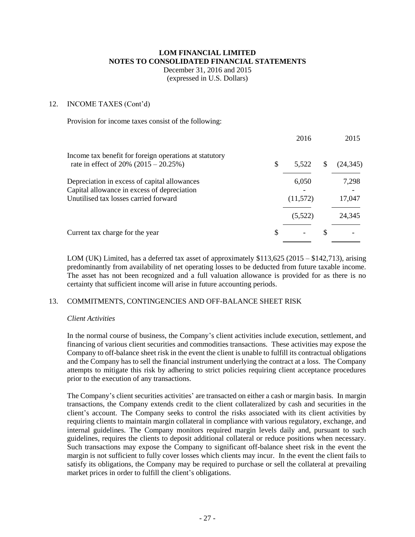December 31, 2016 and 2015 (expressed in U.S. Dollars)

# 12. INCOME TAXES (Cont'd)

Provision for income taxes consist of the following:

|                                                                                                                                      |    | 2016              |     | 2015            |
|--------------------------------------------------------------------------------------------------------------------------------------|----|-------------------|-----|-----------------|
| Income tax benefit for foreign operations at statutory<br>rate in effect of $20\%$ ( $2015 - 20.25\%$ )                              | \$ | 5,522             | \$. | (24, 345)       |
| Depreciation in excess of capital allowances<br>Capital allowance in excess of depreciation<br>Unutilised tax losses carried forward |    | 6,050<br>(11,572) |     | 7,298<br>17,047 |
|                                                                                                                                      |    | (5,522)           |     | 24,345          |
| Current tax charge for the year                                                                                                      | S  |                   | S   |                 |

LOM (UK) Limited, has a deferred tax asset of approximately \$113,625 (2015 – \$142,713), arising predominantly from availability of net operating losses to be deducted from future taxable income. The asset has not been recognized and a full valuation allowance is provided for as there is no certainty that sufficient income will arise in future accounting periods.

#### 13. COMMITMENTS, CONTINGENCIES AND OFF-BALANCE SHEET RISK

#### *Client Activities*

In the normal course of business, the Company's client activities include execution, settlement, and financing of various client securities and commodities transactions. These activities may expose the Company to off-balance sheet risk in the event the client is unable to fulfill its contractual obligations and the Company has to sell the financial instrument underlying the contract at a loss. The Company attempts to mitigate this risk by adhering to strict policies requiring client acceptance procedures prior to the execution of any transactions.

The Company's client securities activities' are transacted on either a cash or margin basis. In margin transactions, the Company extends credit to the client collateralized by cash and securities in the client's account. The Company seeks to control the risks associated with its client activities by requiring clients to maintain margin collateral in compliance with various regulatory, exchange, and internal guidelines. The Company monitors required margin levels daily and, pursuant to such guidelines, requires the clients to deposit additional collateral or reduce positions when necessary. Such transactions may expose the Company to significant off-balance sheet risk in the event the margin is not sufficient to fully cover losses which clients may incur. In the event the client fails to satisfy its obligations, the Company may be required to purchase or sell the collateral at prevailing market prices in order to fulfill the client's obligations.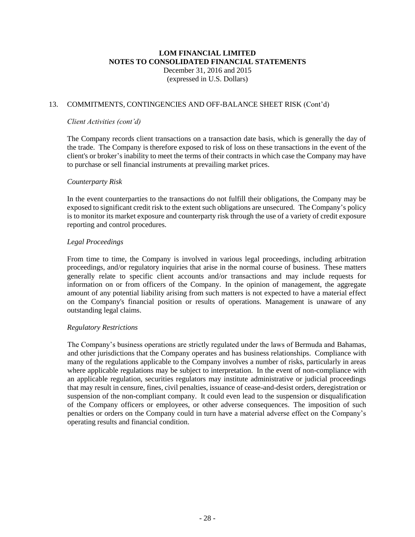# 13. COMMITMENTS, CONTINGENCIES AND OFF-BALANCE SHEET RISK (Cont'd)

#### *Client Activities (cont'd)*

The Company records client transactions on a transaction date basis, which is generally the day of the trade. The Company is therefore exposed to risk of loss on these transactions in the event of the client's or broker's inability to meet the terms of their contracts in which case the Company may have to purchase or sell financial instruments at prevailing market prices.

#### *Counterparty Risk*

In the event counterparties to the transactions do not fulfill their obligations, the Company may be exposed to significant credit risk to the extent such obligations are unsecured. The Company's policy is to monitor its market exposure and counterparty risk through the use of a variety of credit exposure reporting and control procedures.

#### *Legal Proceedings*

From time to time, the Company is involved in various legal proceedings, including arbitration proceedings, and/or regulatory inquiries that arise in the normal course of business. These matters generally relate to specific client accounts and/or transactions and may include requests for information on or from officers of the Company. In the opinion of management, the aggregate amount of any potential liability arising from such matters is not expected to have a material effect on the Company's financial position or results of operations. Management is unaware of any outstanding legal claims.

#### *Regulatory Restrictions*

The Company's business operations are strictly regulated under the laws of Bermuda and Bahamas, and other jurisdictions that the Company operates and has business relationships. Compliance with many of the regulations applicable to the Company involves a number of risks, particularly in areas where applicable regulations may be subject to interpretation. In the event of non-compliance with an applicable regulation, securities regulators may institute administrative or judicial proceedings that may result in censure, fines, civil penalties, issuance of cease-and-desist orders, deregistration or suspension of the non-compliant company. It could even lead to the suspension or disqualification of the Company officers or employees, or other adverse consequences. The imposition of such penalties or orders on the Company could in turn have a material adverse effect on the Company's operating results and financial condition.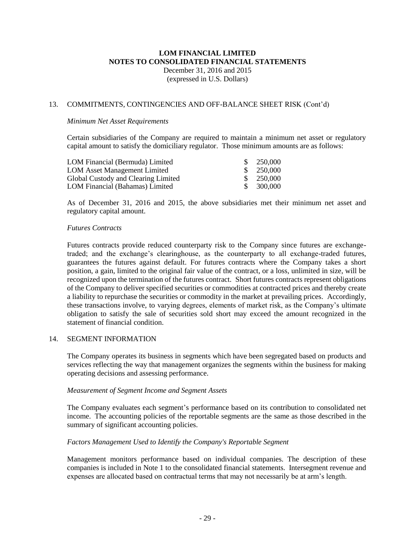(expressed in U.S. Dollars)

# 13. COMMITMENTS, CONTINGENCIES AND OFF-BALANCE SHEET RISK (Cont'd)

#### *Minimum Net Asset Requirements*

Certain subsidiaries of the Company are required to maintain a minimum net asset or regulatory capital amount to satisfy the domiciliary regulator. Those minimum amounts are as follows:

| LOM Financial (Bermuda) Limited        | 250,000 |
|----------------------------------------|---------|
| <b>LOM Asset Management Limited</b>    | 250,000 |
| Global Custody and Clearing Limited    | 250.000 |
| <b>LOM Financial (Bahamas) Limited</b> | 300,000 |

As of December 31, 2016 and 2015, the above subsidiaries met their minimum net asset and regulatory capital amount.

#### *Futures Contracts*

Futures contracts provide reduced counterparty risk to the Company since futures are exchangetraded; and the exchange's clearinghouse, as the counterparty to all exchange-traded futures, guarantees the futures against default. For futures contracts where the Company takes a short position, a gain, limited to the original fair value of the contract, or a loss, unlimited in size, will be recognized upon the termination of the futures contract. Short futures contracts represent obligations of the Company to deliver specified securities or commodities at contracted prices and thereby create a liability to repurchase the securities or commodity in the market at prevailing prices. Accordingly, these transactions involve, to varying degrees, elements of market risk, as the Company's ultimate obligation to satisfy the sale of securities sold short may exceed the amount recognized in the statement of financial condition.

#### 14. SEGMENT INFORMATION

The Company operates its business in segments which have been segregated based on products and services reflecting the way that management organizes the segments within the business for making operating decisions and assessing performance.

#### *Measurement of Segment Income and Segment Assets*

The Company evaluates each segment's performance based on its contribution to consolidated net income. The accounting policies of the reportable segments are the same as those described in the summary of significant accounting policies.

#### *Factors Management Used to Identify the Company's Reportable Segment*

Management monitors performance based on individual companies. The description of these companies is included in Note 1 to the consolidated financial statements. Intersegment revenue and expenses are allocated based on contractual terms that may not necessarily be at arm's length.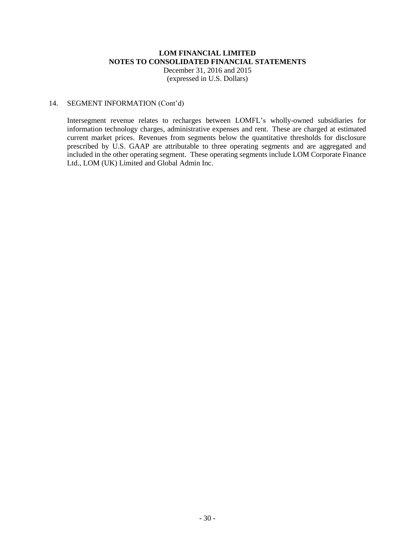December 31, 2016 and 2015 (expressed in U.S. Dollars)

#### 14. SEGMENT INFORMATION (Cont'd)

Intersegment revenue relates to recharges between LOMFL's wholly-owned subsidiaries for information technology charges, administrative expenses and rent. These are charged at estimated current market prices. Revenues from segments below the quantitative thresholds for disclosure prescribed by U.S. GAAP are attributable to three operating segments and are aggregated and included in the other operating segment. These operating segments include LOM Corporate Finance Ltd., LOM (UK) Limited and Global Admin Inc.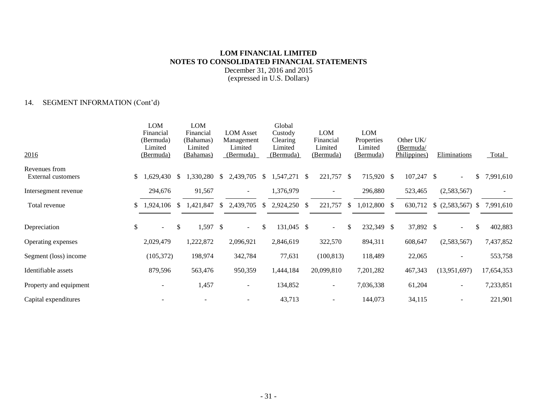(expressed in U.S. Dollars)

# 14. SEGMENT INFORMATION (Cont'd)

|                        |              | LOM                    |               | LOM                    |              |                                |               | Global              |               |                          |              |                          |               |              |                    |                 |
|------------------------|--------------|------------------------|---------------|------------------------|--------------|--------------------------------|---------------|---------------------|---------------|--------------------------|--------------|--------------------------|---------------|--------------|--------------------|-----------------|
|                        |              | Financial<br>(Bermuda) |               | Financial<br>(Bahamas) |              | <b>LOM</b> Asset<br>Management |               | Custody<br>Clearing |               | <b>LOM</b><br>Financial  |              | <b>LOM</b><br>Properties |               | Other UK/    |                    |                 |
|                        |              | Limited                |               | Limited                |              | Limited                        |               | Limited             |               | Limited                  |              | Limited                  |               | (Bermuda/    |                    |                 |
| 2016                   |              | (Bermuda)              |               | (Bahamas)              |              | (Bermuda)                      |               | (Bermuda)           |               | (Bermuda)                |              | (Bermuda)                |               | Philippines) | Eliminations       | Total           |
| Revenues from          |              |                        |               |                        |              |                                |               |                     |               |                          |              |                          |               |              |                    |                 |
| External customers     | \$           | 1,629,430              | - \$          | 1,330,280              | <sup>S</sup> | 2,439,705                      | <sup>\$</sup> | 1,547,271 \$        |               | 221,757 \$               |              | 715,920 \$               |               | $107,247$ \$ | $\sim$             | \$<br>7,991,610 |
| Intersegment revenue   |              | 294,676                |               | 91,567                 |              | $\sim$                         |               | 1,376,979           |               | $\overline{\phantom{a}}$ |              | 296,880                  |               | 523,465      | (2,583,567)        |                 |
| Total revenue          | <sup>S</sup> | 1,924,106              | -S            | 1,421,847              | S.           | 2,439,705                      | S.            | 2,924,250           | <sup>\$</sup> | 221,757                  | <sup>S</sup> | 1,012,800                | <sup>\$</sup> | 630,712      | $$ (2,583,567)$ \; | 7,991,610       |
| Depreciation           | \$           |                        | <sup>\$</sup> | 1,597 \$               |              | $\sim$                         | <sup>\$</sup> | 131,045 \$          |               | $\blacksquare$           |              | 232,349 \$               |               | 37,892 \$    |                    | \$<br>402,883   |
| Operating expenses     |              | 2,029,479              |               | 1,222,872              |              | 2,096,921                      |               | 2,846,619           |               | 322,570                  |              | 894,311                  |               | 608,647      | (2,583,567)        | 7,437,852       |
| Segment (loss) income  |              | (105, 372)             |               | 198,974                |              | 342,784                        |               | 77,631              |               | (100, 813)               |              | 118,489                  |               | 22,065       |                    | 553,758         |
| Identifiable assets    |              | 879,596                |               | 563,476                |              | 950,359                        |               | 1,444,184           |               | 20,099,810               |              | 7,201,282                |               | 467,343      | (13,951,697)       | 17,654,353      |
| Property and equipment |              |                        |               | 1,457                  |              | $\sim$                         |               | 134,852             |               | $\overline{\phantom{a}}$ |              | 7,036,338                |               | 61,204       |                    | 7,233,851       |
| Capital expenditures   |              |                        |               |                        |              | $\overline{\phantom{a}}$       |               | 43,713              |               | $\blacksquare$           |              | 144,073                  |               | 34,115       |                    | 221,901         |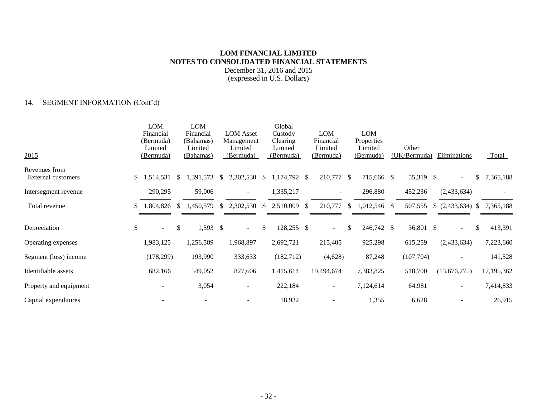December 31, 2016 and 2015 (expressed in U.S. Dollars)

# 14. SEGMENT INFORMATION (Cont'd)

|                                     |    | LOM                  |               | LOM                  |               |                          |               | Global               |              |                          |              |                      |                       |                  |                 |
|-------------------------------------|----|----------------------|---------------|----------------------|---------------|--------------------------|---------------|----------------------|--------------|--------------------------|--------------|----------------------|-----------------------|------------------|-----------------|
|                                     |    | Financial            |               | Financial            |               | <b>LOM</b> Asset         |               | Custody              |              | <b>LOM</b>               |              | LOM                  |                       |                  |                 |
|                                     |    | (Bermuda)            |               | (Bahamas)            |               | Management               |               | Clearing             |              | Financial                |              | Properties           |                       |                  |                 |
| 2015                                |    | Limited<br>(Bermuda) |               | Limited<br>(Bahamas) |               | Limited<br>(Bermuda)     |               | Limited<br>(Bermuda) |              | Limited<br>(Bermuda)     |              | Limited<br>(Bermuda) | Other<br>(UK/Bermuda) | Eliminations     | <b>Total</b>    |
|                                     |    |                      |               |                      |               |                          |               |                      |              |                          |              |                      |                       |                  |                 |
| Revenues from<br>External customers | \$ | 1,514,531            | <sup>\$</sup> | 1,391,573            | <sup>\$</sup> | 2,302,530                | <sup>S</sup>  | 1,174,792 \$         |              | 210,777 \$               |              | 715,666 \$           | 55,319 \$             | $\sim$           | \$<br>7,365,188 |
| Intersegment revenue                |    | 290,295              |               | 59,006               |               | $\sim$                   |               | 1,335,217            |              | $\sim$                   |              | 296,880              | 452,236               | (2,433,634)      | $\sim$          |
| Total revenue                       | S. | 1,804,826            | <sup>S</sup>  | 1,450,579            | S.            | 2,302,530                | <sup>S</sup>  | 2,510,009            | <sup>S</sup> | 210,777                  | <sup>S</sup> | 1,012,546 \$         | 507,555               | $(2,433,634)$ \$ | 7,365,188       |
| Depreciation                        | \$ | $\sim$ .             | <sup>\$</sup> | $1,593$ \$           |               | $\sim$                   | <sup>\$</sup> | 128,255 \$           |              | $\sim$                   |              | 246,742 \$           | 36,801 \$             | $\overline{a}$   | \$<br>413,391   |
|                                     |    |                      |               |                      |               |                          |               |                      |              |                          |              |                      |                       |                  |                 |
| Operating expenses                  |    | 1,983,125            |               | 1,256,589            |               | 1,968,897                |               | 2,692,721            |              | 215,405                  |              | 925,298              | 615,259               | (2,433,634)      | 7,223,660       |
| Segment (loss) income               |    | (178, 299)           |               | 193,990              |               | 333,633                  |               | (182, 712)           |              | (4,628)                  |              | 87,248               | (107,704)             |                  | 141,528         |
| Identifiable assets                 |    | 682,166              |               | 549,052              |               | 827,606                  |               | 1,415,614            |              | 19,494,674               |              | 7,383,825            | 518,700               | (13,676,275)     | 17,195,362      |
| Property and equipment              |    |                      |               | 3,054                |               | $\overline{\phantom{a}}$ |               | 222,184              |              | $\overline{\phantom{a}}$ |              | 7,124,614            | 64,981                |                  | 7,414,833       |
| Capital expenditures                |    |                      |               |                      |               |                          |               | 18,932               |              |                          |              | 1,355                | 6,628                 |                  | 26,915          |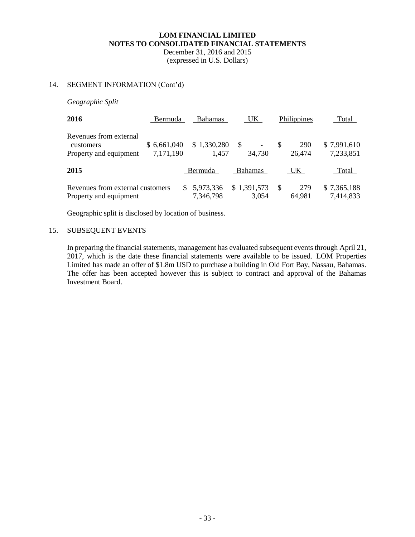December 31, 2016 and 2015 (expressed in U.S. Dollars)

#### 14. SEGMENT INFORMATION (Cont'd)

*Geographic Split*

| 2016                                                          | Bermuda                  | <b>Bahamas</b><br>UK.  |                         | Philippines                    | Total                    |
|---------------------------------------------------------------|--------------------------|------------------------|-------------------------|--------------------------------|--------------------------|
| Revenues from external<br>customers<br>Property and equipment | \$6,661,040<br>7,171,190 | \$1,330,280<br>1.457   | <sup>\$</sup><br>34,730 | <sup>\$</sup><br>290<br>26,474 | \$7,991,610<br>7,233,851 |
| 2015                                                          |                          | Bermuda                | <b>Bahamas</b>          | UK.                            | Total                    |
| Revenues from external customers<br>Property and equipment    |                          | 5,973,336<br>7,346,798 | \$1,391,573<br>3.054    | \$<br>279<br>64,981            | \$7,365,188<br>7,414,833 |

Geographic split is disclosed by location of business.

#### 15. SUBSEQUENT EVENTS

In preparing the financial statements, management has evaluated subsequent events through April 21, 2017, which is the date these financial statements were available to be issued. LOM Properties Limited has made an offer of \$1.8m USD to purchase a building in Old Fort Bay, Nassau, Bahamas. The offer has been accepted however this is subject to contract and approval of the Bahamas Investment Board.